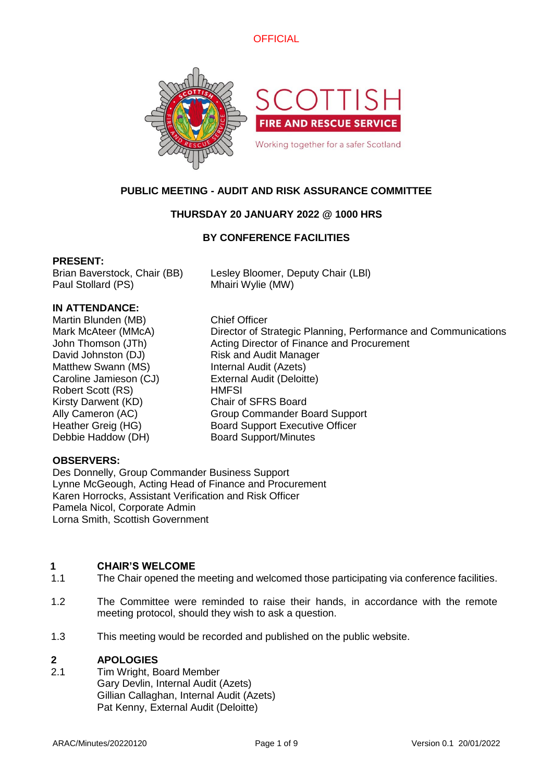

### **PUBLIC MEETING - AUDIT AND RISK ASSURANCE COMMITTEE**

### **THURSDAY 20 JANUARY 2022 @ 1000 HRS**

### **BY CONFERENCE FACILITIES**

### **PRESENT:**

Paul Stollard (PS) Mhairi Wylie (MW)

Brian Baverstock, Chair (BB) Lesley Bloomer, Deputy Chair (LBl)

### **IN ATTENDANCE:**

Martin Blunden (MB) Chief Officer David Johnston (DJ) Risk and Audit Manager Matthew Swann (MS) Internal Audit (Azets) Caroline Jamieson (CJ) External Audit (Deloitte) Robert Scott (RS) HMFSI Kirsty Darwent (KD) Chair of SFRS Board Debbie Haddow (DH) Board Support/Minutes

Mark McAteer (MMcA) Director of Strategic Planning, Performance and Communications John Thomson (JTh) Acting Director of Finance and Procurement Ally Cameron (AC) Group Commander Board Support Heather Greig (HG) Board Support Executive Officer

### **OBSERVERS:**

Des Donnelly, Group Commander Business Support Lynne McGeough, Acting Head of Finance and Procurement Karen Horrocks, Assistant Verification and Risk Officer Pamela Nicol, Corporate Admin Lorna Smith, Scottish Government

# **1 CHAIR'S WELCOME**

- 1.1 The Chair opened the meeting and welcomed those participating via conference facilities.
- 1.2 The Committee were reminded to raise their hands, in accordance with the remote meeting protocol, should they wish to ask a question.
- 1.3 This meeting would be recorded and published on the public website.

# **2 APOLOGIES**

**Tim Wright, Board Member** Gary Devlin, Internal Audit (Azets) Gillian Callaghan, Internal Audit (Azets) Pat Kenny, External Audit (Deloitte)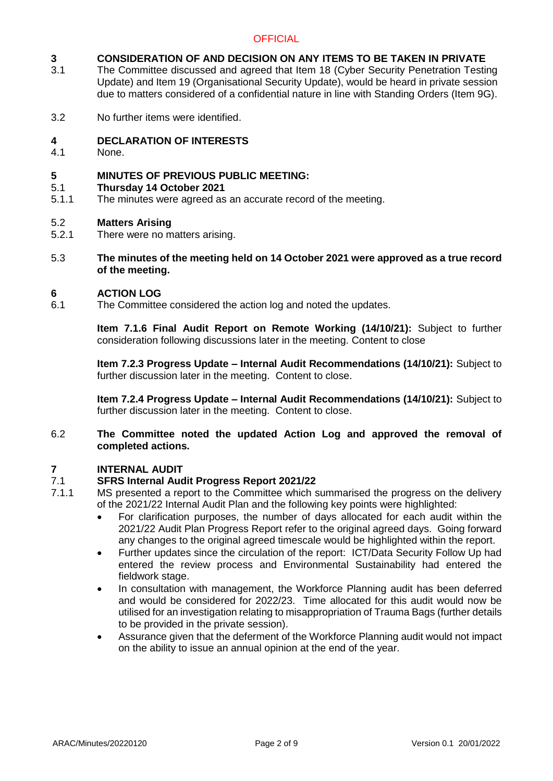### **3 CONSIDERATION OF AND DECISION ON ANY ITEMS TO BE TAKEN IN PRIVATE**

- 3.1 The Committee discussed and agreed that Item 18 (Cyber Security Penetration Testing Update) and Item 19 (Organisational Security Update), would be heard in private session due to matters considered of a confidential nature in line with Standing Orders (Item 9G).
- 3.2 No further items were identified.

#### **4 DECLARATION OF INTERESTS**

4.1 None.

### **5 MINUTES OF PREVIOUS PUBLIC MEETING:**

#### 5.1 **Thursday 14 October 2021**

5.1.1 The minutes were agreed as an accurate record of the meeting.

#### 5.2 **Matters Arising**

- 5.2.1 There were no matters arising.
- 5.3 **The minutes of the meeting held on 14 October 2021 were approved as a true record of the meeting.**

#### **6 ACTION LOG**

6.1 The Committee considered the action log and noted the updates.

> **Item 7.1.6 Final Audit Report on Remote Working (14/10/21):** Subject to further consideration following discussions later in the meeting. Content to close

> **Item 7.2.3 Progress Update – Internal Audit Recommendations (14/10/21):** Subject to further discussion later in the meeting. Content to close.

> **Item 7.2.4 Progress Update – Internal Audit Recommendations (14/10/21):** Subject to further discussion later in the meeting. Content to close.

### 6.2 **The Committee noted the updated Action Log and approved the removal of completed actions.**

#### **7 INTERNAL AUDIT**

#### 7.1 **SFRS Internal Audit Progress Report 2021/22**

- 7.1.1 MS presented a report to the Committee which summarised the progress on the delivery of the 2021/22 Internal Audit Plan and the following key points were highlighted:
	- For clarification purposes, the number of days allocated for each audit within the 2021/22 Audit Plan Progress Report refer to the original agreed days. Going forward any changes to the original agreed timescale would be highlighted within the report.
	- Further updates since the circulation of the report: ICT/Data Security Follow Up had entered the review process and Environmental Sustainability had entered the fieldwork stage.
	- In consultation with management, the Workforce Planning audit has been deferred and would be considered for 2022/23. Time allocated for this audit would now be utilised for an investigation relating to misappropriation of Trauma Bags (further details to be provided in the private session).
	- Assurance given that the deferment of the Workforce Planning audit would not impact on the ability to issue an annual opinion at the end of the year.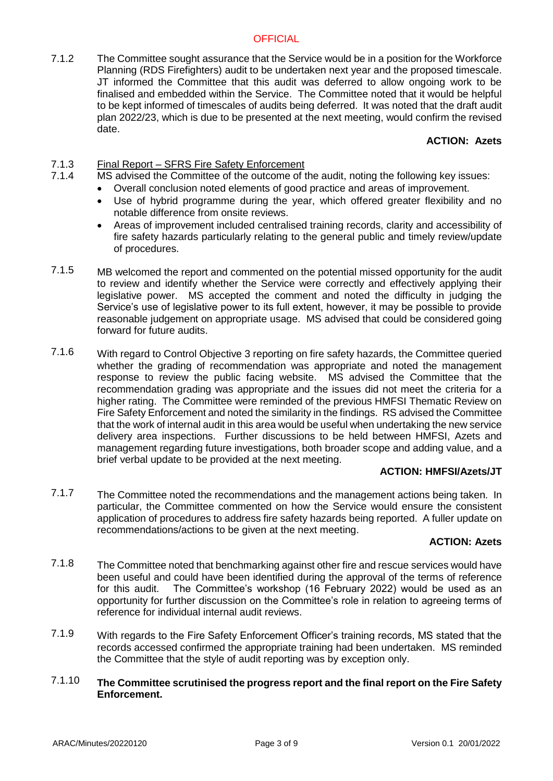7.1.2 The Committee sought assurance that the Service would be in a position for the Workforce Planning (RDS Firefighters) audit to be undertaken next year and the proposed timescale. JT informed the Committee that this audit was deferred to allow ongoing work to be finalised and embedded within the Service. The Committee noted that it would be helpful to be kept informed of timescales of audits being deferred. It was noted that the draft audit plan 2022/23, which is due to be presented at the next meeting, would confirm the revised date.

### **ACTION: Azets**

#### 7.1.3 Final Report – SFRS Fire Safety Enforcement

7.1.4

- MS advised the Committee of the outcome of the audit, noting the following key issues:
	- Overall conclusion noted elements of good practice and areas of improvement.
	- Use of hybrid programme during the year, which offered greater flexibility and no notable difference from onsite reviews.
	- Areas of improvement included centralised training records, clarity and accessibility of fire safety hazards particularly relating to the general public and timely review/update of procedures.
- 7.1.5 MB welcomed the report and commented on the potential missed opportunity for the audit to review and identify whether the Service were correctly and effectively applying their legislative power. MS accepted the comment and noted the difficulty in judging the Service's use of legislative power to its full extent, however, it may be possible to provide reasonable judgement on appropriate usage. MS advised that could be considered going forward for future audits.
- 7.1.6 With regard to Control Objective 3 reporting on fire safety hazards, the Committee queried whether the grading of recommendation was appropriate and noted the management response to review the public facing website. MS advised the Committee that the recommendation grading was appropriate and the issues did not meet the criteria for a higher rating. The Committee were reminded of the previous HMFSI Thematic Review on Fire Safety Enforcement and noted the similarity in the findings. RS advised the Committee that the work of internal audit in this area would be useful when undertaking the new service delivery area inspections. Further discussions to be held between HMFSI, Azets and management regarding future investigations, both broader scope and adding value, and a brief verbal update to be provided at the next meeting.

### **ACTION: HMFSI/Azets/JT**

7.1.7 The Committee noted the recommendations and the management actions being taken. In particular, the Committee commented on how the Service would ensure the consistent application of procedures to address fire safety hazards being reported. A fuller update on recommendations/actions to be given at the next meeting.

### **ACTION: Azets**

- 7.1.8 The Committee noted that benchmarking against other fire and rescue services would have been useful and could have been identified during the approval of the terms of reference for this audit. The Committee's workshop (16 February 2022) would be used as an opportunity for further discussion on the Committee's role in relation to agreeing terms of reference for individual internal audit reviews.
- 7.1.9 With regards to the Fire Safety Enforcement Officer's training records, MS stated that the records accessed confirmed the appropriate training had been undertaken. MS reminded the Committee that the style of audit reporting was by exception only.

### 7.1.10 **The Committee scrutinised the progress report and the final report on the Fire Safety Enforcement.**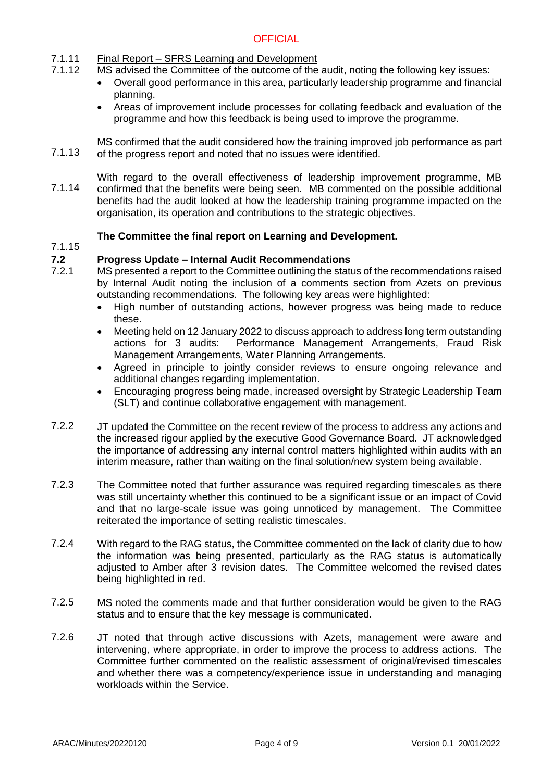- 7.1.11 Final Report – SFRS Learning and Development
- 7.1.12 MS advised the Committee of the outcome of the audit, noting the following key issues:
	- Overall good performance in this area, particularly leadership programme and financial planning.
	- Areas of improvement include processes for collating feedback and evaluation of the programme and how this feedback is being used to improve the programme.

7.1.13 MS confirmed that the audit considered how the training improved job performance as part of the progress report and noted that no issues were identified.

7.1.14 With regard to the overall effectiveness of leadership improvement programme, MB confirmed that the benefits were being seen. MB commented on the possible additional benefits had the audit looked at how the leadership training programme impacted on the organisation, its operation and contributions to the strategic objectives.

# **The Committee the final report on Learning and Development.**

7.1.15

#### **7.2 Progress Update – Internal Audit Recommendations**

- 7.2.1 MS presented a report to the Committee outlining the status of the recommendations raised by Internal Audit noting the inclusion of a comments section from Azets on previous outstanding recommendations. The following key areas were highlighted:
	- High number of outstanding actions, however progress was being made to reduce these.
	- Meeting held on 12 January 2022 to discuss approach to address long term outstanding actions for 3 audits: Performance Management Arrangements, Fraud Risk Management Arrangements, Water Planning Arrangements.
	- Agreed in principle to jointly consider reviews to ensure ongoing relevance and additional changes regarding implementation.
	- Encouraging progress being made, increased oversight by Strategic Leadership Team (SLT) and continue collaborative engagement with management.
- 7.2.2 JT updated the Committee on the recent review of the process to address any actions and the increased rigour applied by the executive Good Governance Board. JT acknowledged the importance of addressing any internal control matters highlighted within audits with an interim measure, rather than waiting on the final solution/new system being available.
- 7.2.3 The Committee noted that further assurance was required regarding timescales as there was still uncertainty whether this continued to be a significant issue or an impact of Covid and that no large-scale issue was going unnoticed by management. The Committee reiterated the importance of setting realistic timescales.
- 7.2.4 With regard to the RAG status, the Committee commented on the lack of clarity due to how the information was being presented, particularly as the RAG status is automatically adjusted to Amber after 3 revision dates. The Committee welcomed the revised dates being highlighted in red.
- 7.2.5 MS noted the comments made and that further consideration would be given to the RAG status and to ensure that the key message is communicated.
- 7.2.6 JT noted that through active discussions with Azets, management were aware and intervening, where appropriate, in order to improve the process to address actions. The Committee further commented on the realistic assessment of original/revised timescales and whether there was a competency/experience issue in understanding and managing workloads within the Service.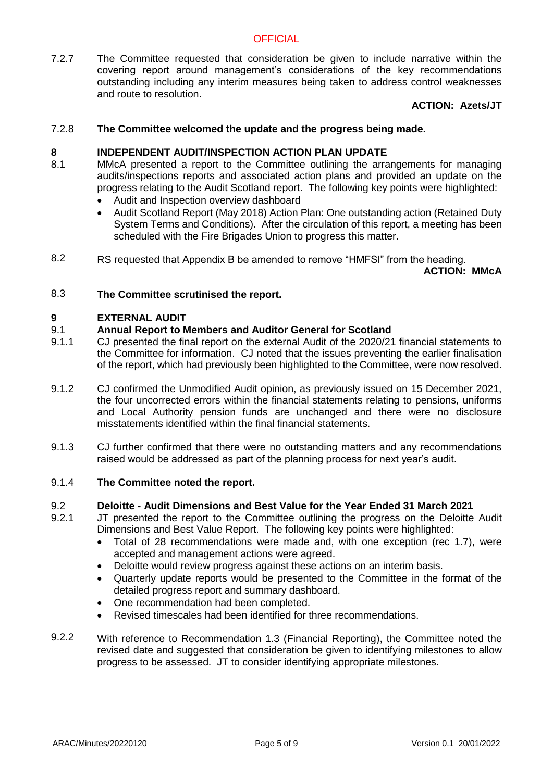7.2.7 The Committee requested that consideration be given to include narrative within the covering report around management's considerations of the key recommendations outstanding including any interim measures being taken to address control weaknesses and route to resolution.

### **ACTION: Azets/JT**

#### 7.2.8 **The Committee welcomed the update and the progress being made.**

#### **8 INDEPENDENT AUDIT/INSPECTION ACTION PLAN UPDATE**

- 8.1 MMcA presented a report to the Committee outlining the arrangements for managing audits/inspections reports and associated action plans and provided an update on the progress relating to the Audit Scotland report. The following key points were highlighted:
	- Audit and Inspection overview dashboard
	- Audit Scotland Report (May 2018) Action Plan: One outstanding action (Retained Duty System Terms and Conditions). After the circulation of this report, a meeting has been scheduled with the Fire Brigades Union to progress this matter.
- 8.2 RS requested that Appendix B be amended to remove "HMFSI" from the heading.

**ACTION: MMcA**

#### 8.3 **The Committee scrutinised the report.**

#### **9 EXTERNAL AUDIT**

#### 9.1 **Annual Report to Members and Auditor General for Scotland**

- 9.1.1 CJ presented the final report on the external Audit of the 2020/21 financial statements to the Committee for information. CJ noted that the issues preventing the earlier finalisation of the report, which had previously been highlighted to the Committee, were now resolved.
- 9.1.2 CJ confirmed the Unmodified Audit opinion, as previously issued on 15 December 2021, the four uncorrected errors within the financial statements relating to pensions, uniforms and Local Authority pension funds are unchanged and there were no disclosure misstatements identified within the final financial statements.
- 9.1.3 CJ further confirmed that there were no outstanding matters and any recommendations raised would be addressed as part of the planning process for next year's audit.

#### 9.1.4 **The Committee noted the report.**

#### 9.2 **Deloitte - Audit Dimensions and Best Value for the Year Ended 31 March 2021**

- 9.2.1 JT presented the report to the Committee outlining the progress on the Deloitte Audit Dimensions and Best Value Report. The following key points were highlighted:
	- Total of 28 recommendations were made and, with one exception (rec 1.7), were accepted and management actions were agreed.
	- Deloitte would review progress against these actions on an interim basis.
	- Quarterly update reports would be presented to the Committee in the format of the detailed progress report and summary dashboard.
	- One recommendation had been completed.
	- Revised timescales had been identified for three recommendations.
- 922 With reference to Recommendation 1.3 (Financial Reporting), the Committee noted the revised date and suggested that consideration be given to identifying milestones to allow progress to be assessed. JT to consider identifying appropriate milestones.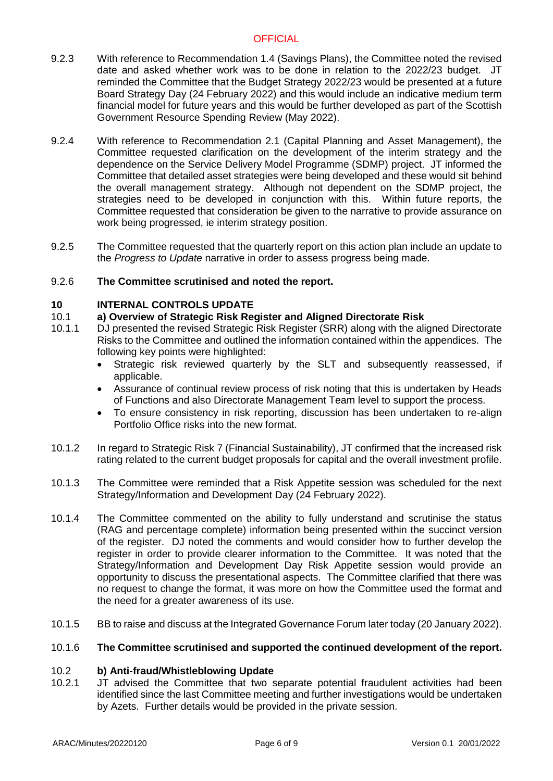- 9.2.3 With reference to Recommendation 1.4 (Savings Plans), the Committee noted the revised date and asked whether work was to be done in relation to the 2022/23 budget. JT reminded the Committee that the Budget Strategy 2022/23 would be presented at a future Board Strategy Day (24 February 2022) and this would include an indicative medium term financial model for future years and this would be further developed as part of the Scottish Government Resource Spending Review (May 2022).
- 9.2.4 With reference to Recommendation 2.1 (Capital Planning and Asset Management), the Committee requested clarification on the development of the interim strategy and the dependence on the Service Delivery Model Programme (SDMP) project. JT informed the Committee that detailed asset strategies were being developed and these would sit behind the overall management strategy. Although not dependent on the SDMP project, the strategies need to be developed in conjunction with this. Within future reports, the Committee requested that consideration be given to the narrative to provide assurance on work being progressed, ie interim strategy position.
- 9.2.5 The Committee requested that the quarterly report on this action plan include an update to the *Progress to Update* narrative in order to assess progress being made.

#### 9.2.6 **The Committee scrutinised and noted the report.**

#### **10 INTERNAL CONTROLS UPDATE**

#### 10.1 **a) Overview of Strategic Risk Register and Aligned Directorate Risk**

- 10.1.1 DJ presented the revised Strategic Risk Register (SRR) along with the aligned Directorate Risks to the Committee and outlined the information contained within the appendices. The following key points were highlighted:
	- Strategic risk reviewed quarterly by the SLT and subsequently reassessed, if applicable.
	- Assurance of continual review process of risk noting that this is undertaken by Heads of Functions and also Directorate Management Team level to support the process.
	- To ensure consistency in risk reporting, discussion has been undertaken to re-align Portfolio Office risks into the new format.
- 10.1.2 In regard to Strategic Risk 7 (Financial Sustainability), JT confirmed that the increased risk rating related to the current budget proposals for capital and the overall investment profile.
- 10.1.3 The Committee were reminded that a Risk Appetite session was scheduled for the next Strategy/Information and Development Day (24 February 2022).
- 10.1.4 The Committee commented on the ability to fully understand and scrutinise the status (RAG and percentage complete) information being presented within the succinct version of the register. DJ noted the comments and would consider how to further develop the register in order to provide clearer information to the Committee. It was noted that the Strategy/Information and Development Day Risk Appetite session would provide an opportunity to discuss the presentational aspects. The Committee clarified that there was no request to change the format, it was more on how the Committee used the format and the need for a greater awareness of its use.
- 10.1.5 BB to raise and discuss at the Integrated Governance Forum later today (20 January 2022).

#### 10.1.6 **The Committee scrutinised and supported the continued development of the report.**

#### 10.2 **b) Anti-fraud/Whistleblowing Update**

10.2.1 JT advised the Committee that two separate potential fraudulent activities had been identified since the last Committee meeting and further investigations would be undertaken by Azets. Further details would be provided in the private session.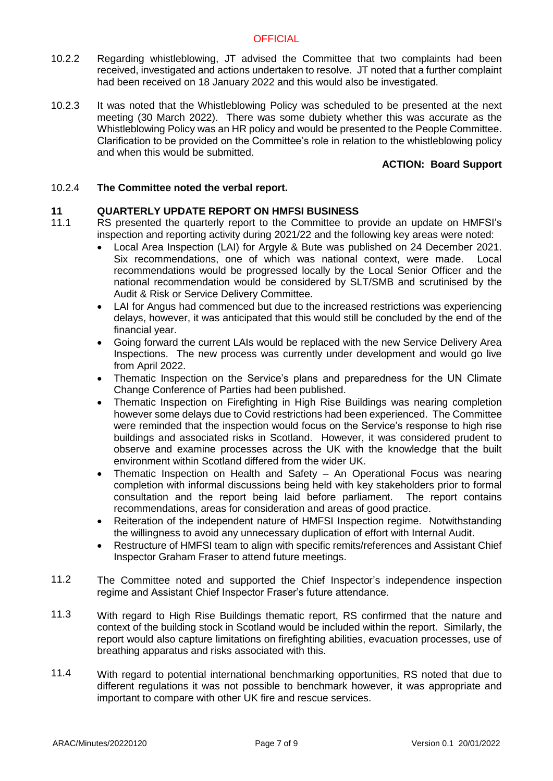- 10.2.2 Regarding whistleblowing, JT advised the Committee that two complaints had been received, investigated and actions undertaken to resolve. JT noted that a further complaint had been received on 18 January 2022 and this would also be investigated.
- 10.2.3 It was noted that the Whistleblowing Policy was scheduled to be presented at the next meeting (30 March 2022). There was some dubiety whether this was accurate as the Whistleblowing Policy was an HR policy and would be presented to the People Committee. Clarification to be provided on the Committee's role in relation to the whistleblowing policy and when this would be submitted.

### **ACTION: Board Support**

#### 10.2.4 **The Committee noted the verbal report.**

#### **11 QUARTERLY UPDATE REPORT ON HMFSI BUSINESS**

- 11.1 RS presented the quarterly report to the Committee to provide an update on HMFSI's inspection and reporting activity during 2021/22 and the following key areas were noted:
	- Local Area Inspection (LAI) for Argyle & Bute was published on 24 December 2021. Six recommendations, one of which was national context, were made. Local recommendations would be progressed locally by the Local Senior Officer and the national recommendation would be considered by SLT/SMB and scrutinised by the Audit & Risk or Service Delivery Committee.
	- LAI for Angus had commenced but due to the increased restrictions was experiencing delays, however, it was anticipated that this would still be concluded by the end of the financial year.
	- Going forward the current LAIs would be replaced with the new Service Delivery Area Inspections. The new process was currently under development and would go live from April 2022.
	- Thematic Inspection on the Service's plans and preparedness for the UN Climate Change Conference of Parties had been published.
	- Thematic Inspection on Firefighting in High Rise Buildings was nearing completion however some delays due to Covid restrictions had been experienced. The Committee were reminded that the inspection would focus on the Service's response to high rise buildings and associated risks in Scotland. However, it was considered prudent to observe and examine processes across the UK with the knowledge that the built environment within Scotland differed from the wider UK.
	- Thematic Inspection on Health and Safety An Operational Focus was nearing completion with informal discussions being held with key stakeholders prior to formal consultation and the report being laid before parliament. The report contains recommendations, areas for consideration and areas of good practice.
	- Reiteration of the independent nature of HMFSI Inspection regime. Notwithstanding the willingness to avoid any unnecessary duplication of effort with Internal Audit.
	- Restructure of HMFSI team to align with specific remits/references and Assistant Chief Inspector Graham Fraser to attend future meetings.
- 11.2 The Committee noted and supported the Chief Inspector's independence inspection regime and Assistant Chief Inspector Fraser's future attendance.
- 11.3 With regard to High Rise Buildings thematic report. RS confirmed that the nature and context of the building stock in Scotland would be included within the report. Similarly, the report would also capture limitations on firefighting abilities, evacuation processes, use of breathing apparatus and risks associated with this.
- 11.4 With regard to potential international benchmarking opportunities, RS noted that due to different regulations it was not possible to benchmark however, it was appropriate and important to compare with other UK fire and rescue services.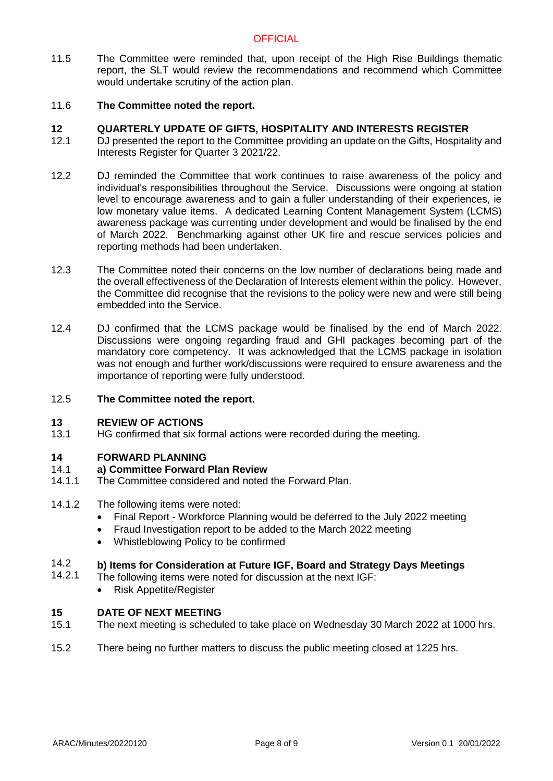11.5 The Committee were reminded that, upon receipt of the High Rise Buildings thematic report, the SLT would review the recommendations and recommend which Committee would undertake scrutiny of the action plan.

#### 11.6 **The Committee noted the report.**

#### **12 QUARTERLY UPDATE OF GIFTS, HOSPITALITY AND INTERESTS REGISTER**

- 12.1 DJ presented the report to the Committee providing an update on the Gifts, Hospitality and Interests Register for Quarter 3 2021/22.
- 12.2 DJ reminded the Committee that work continues to raise awareness of the policy and individual's responsibilities throughout the Service. Discussions were ongoing at station level to encourage awareness and to gain a fuller understanding of their experiences, ie low monetary value items. A dedicated Learning Content Management System (LCMS) awareness package was currenting under development and would be finalised by the end of March 2022. Benchmarking against other UK fire and rescue services policies and reporting methods had been undertaken.
- 12.3 The Committee noted their concerns on the low number of declarations being made and the overall effectiveness of the Declaration of Interests element within the policy. However, the Committee did recognise that the revisions to the policy were new and were still being embedded into the Service.
- 12.4 DJ confirmed that the LCMS package would be finalised by the end of March 2022. Discussions were ongoing regarding fraud and GHI packages becoming part of the mandatory core competency. It was acknowledged that the LCMS package in isolation was not enough and further work/discussions were required to ensure awareness and the importance of reporting were fully understood.

#### 12.5 **The Committee noted the report.**

#### **13 REVIEW OF ACTIONS**

13.1 HG confirmed that six formal actions were recorded during the meeting.

#### **14 FORWARD PLANNING**

#### 14.1 **a) Committee Forward Plan Review**

- 14.1.1 The Committee considered and noted the Forward Plan.
- 14.1.2 The following items were noted:
	- Final Report Workforce Planning would be deferred to the July 2022 meeting
	- Fraud Investigation report to be added to the March 2022 meeting
	- Whistleblowing Policy to be confirmed

#### 14.2 **b) Items for Consideration at Future IGF, Board and Strategy Days Meetings**

- 14.2.1 The following items were noted for discussion at the next IGF:
	- Risk Appetite/Register

#### **15 DATE OF NEXT MEETING**

- 15.1 The next meeting is scheduled to take place on Wednesday 30 March 2022 at 1000 hrs.
- 15.2 There being no further matters to discuss the public meeting closed at 1225 hrs.